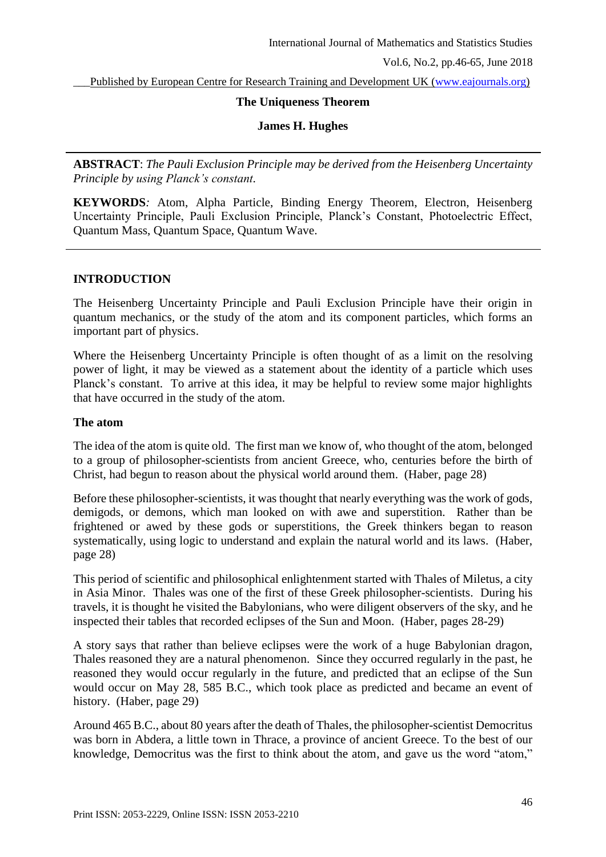Published by European Centre for Research Training and Development UK [\(www.eajournals.org\)](http://www.eajournals.org/)

### **The Uniqueness Theorem**

### **James H. Hughes**

**ABSTRACT**: *The Pauli Exclusion Principle may be derived from the Heisenberg Uncertainty Principle by using Planck's constant.* 

**KEYWORDS***:* Atom, Alpha Particle, Binding Energy Theorem, Electron, Heisenberg Uncertainty Principle, Pauli Exclusion Principle, Planck's Constant, Photoelectric Effect, Quantum Mass, Quantum Space, Quantum Wave.

## **INTRODUCTION**

The Heisenberg Uncertainty Principle and Pauli Exclusion Principle have their origin in quantum mechanics, or the study of the atom and its component particles, which forms an important part of physics.

Where the Heisenberg Uncertainty Principle is often thought of as a limit on the resolving power of light, it may be viewed as a statement about the identity of a particle which uses Planck's constant. To arrive at this idea, it may be helpful to review some major highlights that have occurred in the study of the atom.

#### **The atom**

The idea of the atom is quite old. The first man we know of, who thought of the atom, belonged to a group of philosopher-scientists from ancient Greece, who, centuries before the birth of Christ, had begun to reason about the physical world around them. (Haber, page 28)

Before these philosopher-scientists, it was thought that nearly everything was the work of gods, demigods, or demons, which man looked on with awe and superstition. Rather than be frightened or awed by these gods or superstitions, the Greek thinkers began to reason systematically, using logic to understand and explain the natural world and its laws. (Haber, page 28)

This period of scientific and philosophical enlightenment started with Thales of Miletus, a city in Asia Minor. Thales was one of the first of these Greek philosopher-scientists. During his travels, it is thought he visited the Babylonians, who were diligent observers of the sky, and he inspected their tables that recorded eclipses of the Sun and Moon. (Haber, pages 28-29)

A story says that rather than believe eclipses were the work of a huge Babylonian dragon, Thales reasoned they are a natural phenomenon. Since they occurred regularly in the past, he reasoned they would occur regularly in the future, and predicted that an eclipse of the Sun would occur on May 28, 585 B.C., which took place as predicted and became an event of history. (Haber, page 29)

Around 465 B.C., about 80 years after the death of Thales, the philosopher-scientist Democritus was born in Abdera, a little town in Thrace, a province of ancient Greece. To the best of our knowledge, Democritus was the first to think about the atom, and gave us the word "atom,"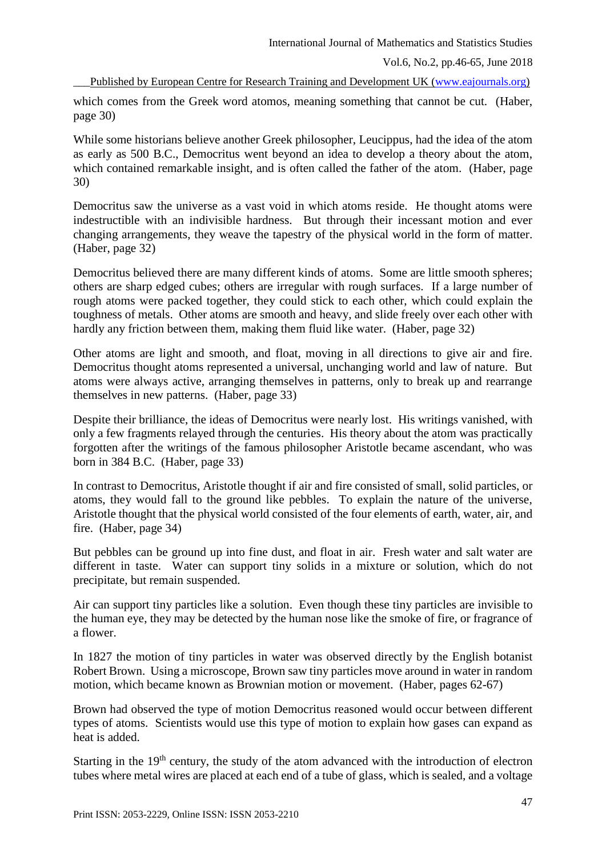Vol.6, No.2, pp.46-65, June 2018

Published by European Centre for Research Training and Development UK [\(www.eajournals.org\)](http://www.eajournals.org/)

which comes from the Greek word atomos, meaning something that cannot be cut. (Haber, page 30)

While some historians believe another Greek philosopher, Leucippus, had the idea of the atom as early as 500 B.C., Democritus went beyond an idea to develop a theory about the atom, which contained remarkable insight, and is often called the father of the atom. (Haber, page 30)

Democritus saw the universe as a vast void in which atoms reside. He thought atoms were indestructible with an indivisible hardness. But through their incessant motion and ever changing arrangements, they weave the tapestry of the physical world in the form of matter. (Haber, page 32)

Democritus believed there are many different kinds of atoms. Some are little smooth spheres; others are sharp edged cubes; others are irregular with rough surfaces. If a large number of rough atoms were packed together, they could stick to each other, which could explain the toughness of metals. Other atoms are smooth and heavy, and slide freely over each other with hardly any friction between them, making them fluid like water. (Haber, page 32)

Other atoms are light and smooth, and float, moving in all directions to give air and fire. Democritus thought atoms represented a universal, unchanging world and law of nature. But atoms were always active, arranging themselves in patterns, only to break up and rearrange themselves in new patterns. (Haber, page 33)

Despite their brilliance, the ideas of Democritus were nearly lost. His writings vanished, with only a few fragments relayed through the centuries. His theory about the atom was practically forgotten after the writings of the famous philosopher Aristotle became ascendant, who was born in 384 B.C. (Haber, page 33)

In contrast to Democritus, Aristotle thought if air and fire consisted of small, solid particles, or atoms, they would fall to the ground like pebbles. To explain the nature of the universe, Aristotle thought that the physical world consisted of the four elements of earth, water, air, and fire. (Haber, page 34)

But pebbles can be ground up into fine dust, and float in air. Fresh water and salt water are different in taste. Water can support tiny solids in a mixture or solution, which do not precipitate, but remain suspended.

Air can support tiny particles like a solution. Even though these tiny particles are invisible to the human eye, they may be detected by the human nose like the smoke of fire, or fragrance of a flower.

In 1827 the motion of tiny particles in water was observed directly by the English botanist Robert Brown. Using a microscope, Brown saw tiny particles move around in water in random motion, which became known as Brownian motion or movement. (Haber, pages 62-67)

Brown had observed the type of motion Democritus reasoned would occur between different types of atoms. Scientists would use this type of motion to explain how gases can expand as heat is added.

Starting in the 19<sup>th</sup> century, the study of the atom advanced with the introduction of electron tubes where metal wires are placed at each end of a tube of glass, which is sealed, and a voltage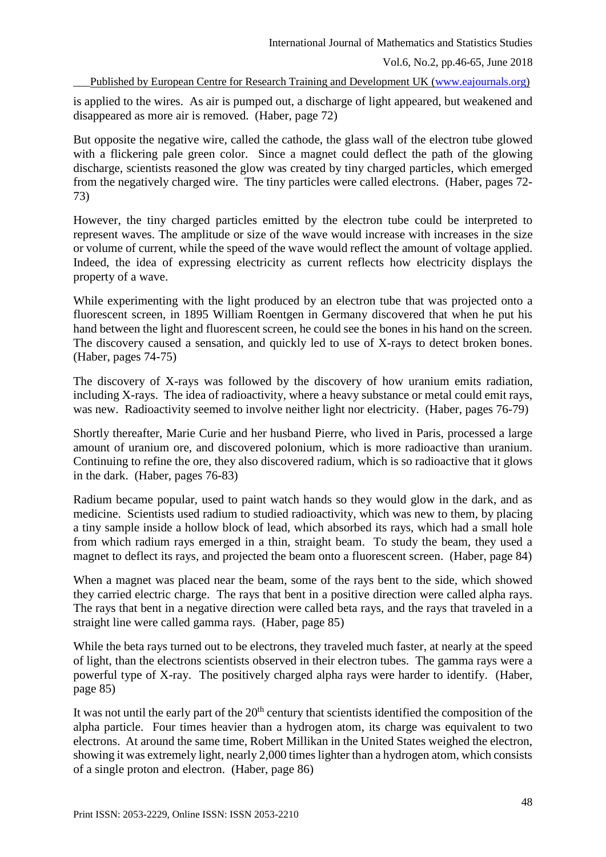Published by European Centre for Research Training and Development UK [\(www.eajournals.org\)](http://www.eajournals.org/)

is applied to the wires. As air is pumped out, a discharge of light appeared, but weakened and disappeared as more air is removed. (Haber, page 72)

But opposite the negative wire, called the cathode, the glass wall of the electron tube glowed with a flickering pale green color. Since a magnet could deflect the path of the glowing discharge, scientists reasoned the glow was created by tiny charged particles, which emerged from the negatively charged wire. The tiny particles were called electrons. (Haber, pages 72- 73)

However, the tiny charged particles emitted by the electron tube could be interpreted to represent waves. The amplitude or size of the wave would increase with increases in the size or volume of current, while the speed of the wave would reflect the amount of voltage applied. Indeed, the idea of expressing electricity as current reflects how electricity displays the property of a wave.

While experimenting with the light produced by an electron tube that was projected onto a fluorescent screen, in 1895 William Roentgen in Germany discovered that when he put his hand between the light and fluorescent screen, he could see the bones in his hand on the screen. The discovery caused a sensation, and quickly led to use of X-rays to detect broken bones. (Haber, pages 74-75)

The discovery of X-rays was followed by the discovery of how uranium emits radiation, including X-rays. The idea of radioactivity, where a heavy substance or metal could emit rays, was new. Radioactivity seemed to involve neither light nor electricity. (Haber, pages 76-79)

Shortly thereafter, Marie Curie and her husband Pierre, who lived in Paris, processed a large amount of uranium ore, and discovered polonium, which is more radioactive than uranium. Continuing to refine the ore, they also discovered radium, which is so radioactive that it glows in the dark. (Haber, pages 76-83)

Radium became popular, used to paint watch hands so they would glow in the dark, and as medicine. Scientists used radium to studied radioactivity, which was new to them, by placing a tiny sample inside a hollow block of lead, which absorbed its rays, which had a small hole from which radium rays emerged in a thin, straight beam. To study the beam, they used a magnet to deflect its rays, and projected the beam onto a fluorescent screen. (Haber, page 84)

When a magnet was placed near the beam, some of the rays bent to the side, which showed they carried electric charge. The rays that bent in a positive direction were called alpha rays. The rays that bent in a negative direction were called beta rays, and the rays that traveled in a straight line were called gamma rays. (Haber, page 85)

While the beta rays turned out to be electrons, they traveled much faster, at nearly at the speed of light, than the electrons scientists observed in their electron tubes. The gamma rays were a powerful type of X-ray. The positively charged alpha rays were harder to identify. (Haber, page 85)

It was not until the early part of the 20<sup>th</sup> century that scientists identified the composition of the alpha particle. Four times heavier than a hydrogen atom, its charge was equivalent to two electrons. At around the same time, Robert Millikan in the United States weighed the electron, showing it was extremely light, nearly 2,000 times lighter than a hydrogen atom, which consists of a single proton and electron. (Haber, page 86)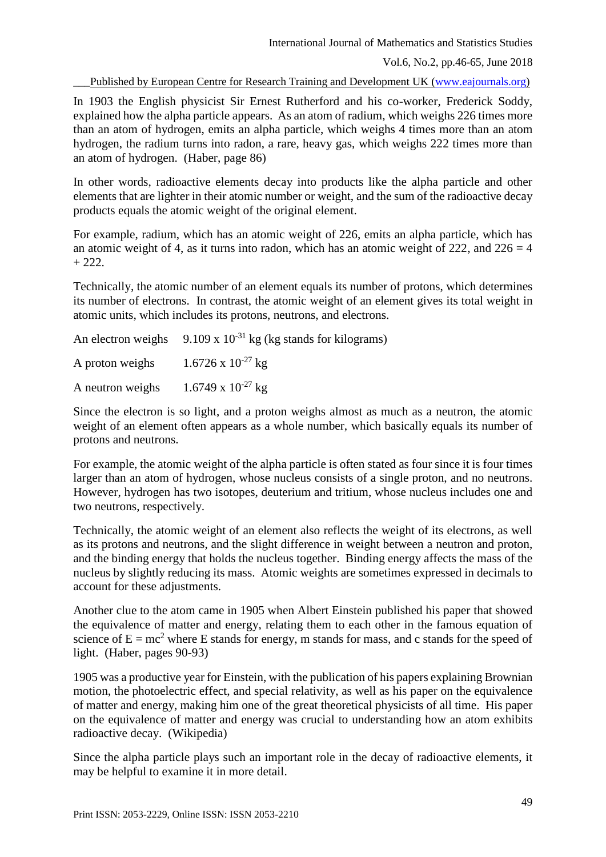Vol.6, No.2, pp.46-65, June 2018

Published by European Centre for Research Training and Development UK [\(www.eajournals.org\)](http://www.eajournals.org/)

In 1903 the English physicist Sir Ernest Rutherford and his co-worker, Frederick Soddy, explained how the alpha particle appears. As an atom of radium, which weighs 226 times more than an atom of hydrogen, emits an alpha particle, which weighs 4 times more than an atom hydrogen, the radium turns into radon, a rare, heavy gas, which weighs 222 times more than an atom of hydrogen. (Haber, page 86)

In other words, radioactive elements decay into products like the alpha particle and other elements that are lighter in their atomic number or weight, and the sum of the radioactive decay products equals the atomic weight of the original element.

For example, radium, which has an atomic weight of 226, emits an alpha particle, which has an atomic weight of 4, as it turns into radon, which has an atomic weight of  $222$ , and  $226 = 4$  $+ 222.$ 

Technically, the atomic number of an element equals its number of protons, which determines its number of electrons. In contrast, the atomic weight of an element gives its total weight in atomic units, which includes its protons, neutrons, and electrons.

|                                             | An electron weighs $9.109 \times 10^{-31}$ kg (kg stands for kilograms) |
|---------------------------------------------|-------------------------------------------------------------------------|
| A proton weighs $1.6726 \times 10^{-27}$ kg |                                                                         |
| A neutron weighs                            | $1.6749 \times 10^{-27}$ kg                                             |

Since the electron is so light, and a proton weighs almost as much as a neutron, the atomic weight of an element often appears as a whole number, which basically equals its number of protons and neutrons.

For example, the atomic weight of the alpha particle is often stated as four since it is four times larger than an atom of hydrogen, whose nucleus consists of a single proton, and no neutrons. However, hydrogen has two isotopes, deuterium and tritium, whose nucleus includes one and two neutrons, respectively.

Technically, the atomic weight of an element also reflects the weight of its electrons, as well as its protons and neutrons, and the slight difference in weight between a neutron and proton, and the binding energy that holds the nucleus together. Binding energy affects the mass of the nucleus by slightly reducing its mass. Atomic weights are sometimes expressed in decimals to account for these adjustments.

Another clue to the atom came in 1905 when Albert Einstein published his paper that showed the equivalence of matter and energy, relating them to each other in the famous equation of science of  $E = mc^2$  where E stands for energy, m stands for mass, and c stands for the speed of light. (Haber, pages 90-93)

1905 was a productive year for Einstein, with the publication of his papers explaining Brownian motion, the photoelectric effect, and special relativity, as well as his paper on the equivalence of matter and energy, making him one of the great theoretical physicists of all time. His paper on the equivalence of matter and energy was crucial to understanding how an atom exhibits radioactive decay. (Wikipedia)

Since the alpha particle plays such an important role in the decay of radioactive elements, it may be helpful to examine it in more detail.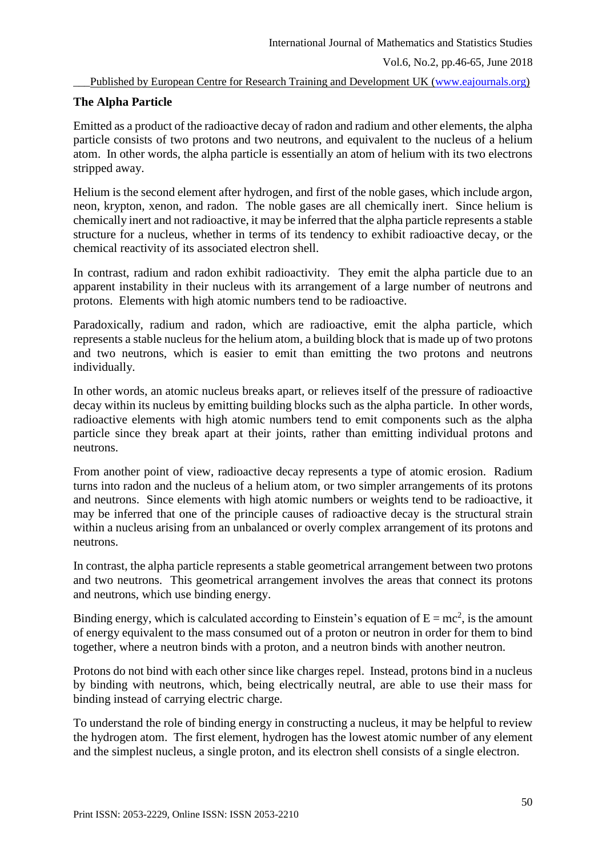# **The Alpha Particle**

Emitted as a product of the radioactive decay of radon and radium and other elements, the alpha particle consists of two protons and two neutrons, and equivalent to the nucleus of a helium atom. In other words, the alpha particle is essentially an atom of helium with its two electrons stripped away.

Helium is the second element after hydrogen, and first of the noble gases, which include argon, neon, krypton, xenon, and radon. The noble gases are all chemically inert. Since helium is chemically inert and not radioactive, it may be inferred that the alpha particle represents a stable structure for a nucleus, whether in terms of its tendency to exhibit radioactive decay, or the chemical reactivity of its associated electron shell.

In contrast, radium and radon exhibit radioactivity. They emit the alpha particle due to an apparent instability in their nucleus with its arrangement of a large number of neutrons and protons. Elements with high atomic numbers tend to be radioactive.

Paradoxically, radium and radon, which are radioactive, emit the alpha particle, which represents a stable nucleus for the helium atom, a building block that is made up of two protons and two neutrons, which is easier to emit than emitting the two protons and neutrons individually.

In other words, an atomic nucleus breaks apart, or relieves itself of the pressure of radioactive decay within its nucleus by emitting building blocks such as the alpha particle. In other words, radioactive elements with high atomic numbers tend to emit components such as the alpha particle since they break apart at their joints, rather than emitting individual protons and neutrons.

From another point of view, radioactive decay represents a type of atomic erosion. Radium turns into radon and the nucleus of a helium atom, or two simpler arrangements of its protons and neutrons. Since elements with high atomic numbers or weights tend to be radioactive, it may be inferred that one of the principle causes of radioactive decay is the structural strain within a nucleus arising from an unbalanced or overly complex arrangement of its protons and neutrons.

In contrast, the alpha particle represents a stable geometrical arrangement between two protons and two neutrons. This geometrical arrangement involves the areas that connect its protons and neutrons, which use binding energy.

Binding energy, which is calculated according to Einstein's equation of  $E = mc^2$ , is the amount of energy equivalent to the mass consumed out of a proton or neutron in order for them to bind together, where a neutron binds with a proton, and a neutron binds with another neutron.

Protons do not bind with each other since like charges repel. Instead, protons bind in a nucleus by binding with neutrons, which, being electrically neutral, are able to use their mass for binding instead of carrying electric charge.

To understand the role of binding energy in constructing a nucleus, it may be helpful to review the hydrogen atom. The first element, hydrogen has the lowest atomic number of any element and the simplest nucleus, a single proton, and its electron shell consists of a single electron.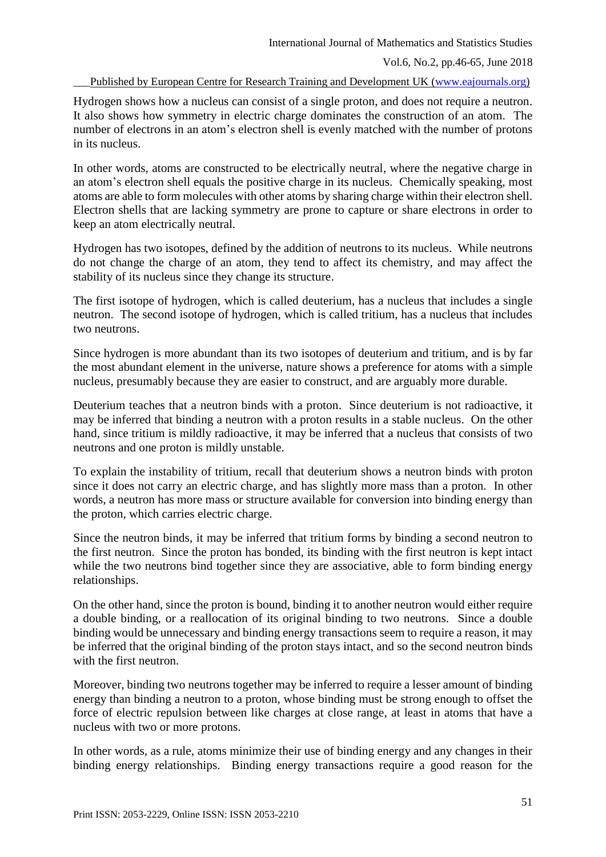Hydrogen shows how a nucleus can consist of a single proton, and does not require a neutron. It also shows how symmetry in electric charge dominates the construction of an atom. The number of electrons in an atom's electron shell is evenly matched with the number of protons in its nucleus.

In other words, atoms are constructed to be electrically neutral, where the negative charge in an atom's electron shell equals the positive charge in its nucleus. Chemically speaking, most atoms are able to form molecules with other atoms by sharing charge within their electron shell. Electron shells that are lacking symmetry are prone to capture or share electrons in order to keep an atom electrically neutral.

Hydrogen has two isotopes, defined by the addition of neutrons to its nucleus. While neutrons do not change the charge of an atom, they tend to affect its chemistry, and may affect the stability of its nucleus since they change its structure.

The first isotope of hydrogen, which is called deuterium, has a nucleus that includes a single neutron. The second isotope of hydrogen, which is called tritium, has a nucleus that includes two neutrons.

Since hydrogen is more abundant than its two isotopes of deuterium and tritium, and is by far the most abundant element in the universe, nature shows a preference for atoms with a simple nucleus, presumably because they are easier to construct, and are arguably more durable.

Deuterium teaches that a neutron binds with a proton. Since deuterium is not radioactive, it may be inferred that binding a neutron with a proton results in a stable nucleus. On the other hand, since tritium is mildly radioactive, it may be inferred that a nucleus that consists of two neutrons and one proton is mildly unstable.

To explain the instability of tritium, recall that deuterium shows a neutron binds with proton since it does not carry an electric charge, and has slightly more mass than a proton. In other words, a neutron has more mass or structure available for conversion into binding energy than the proton, which carries electric charge.

Since the neutron binds, it may be inferred that tritium forms by binding a second neutron to the first neutron. Since the proton has bonded, its binding with the first neutron is kept intact while the two neutrons bind together since they are associative, able to form binding energy relationships.

On the other hand, since the proton is bound, binding it to another neutron would either require a double binding, or a reallocation of its original binding to two neutrons. Since a double binding would be unnecessary and binding energy transactions seem to require a reason, it may be inferred that the original binding of the proton stays intact, and so the second neutron binds with the first neutron.

Moreover, binding two neutrons together may be inferred to require a lesser amount of binding energy than binding a neutron to a proton, whose binding must be strong enough to offset the force of electric repulsion between like charges at close range, at least in atoms that have a nucleus with two or more protons.

In other words, as a rule, atoms minimize their use of binding energy and any changes in their binding energy relationships. Binding energy transactions require a good reason for the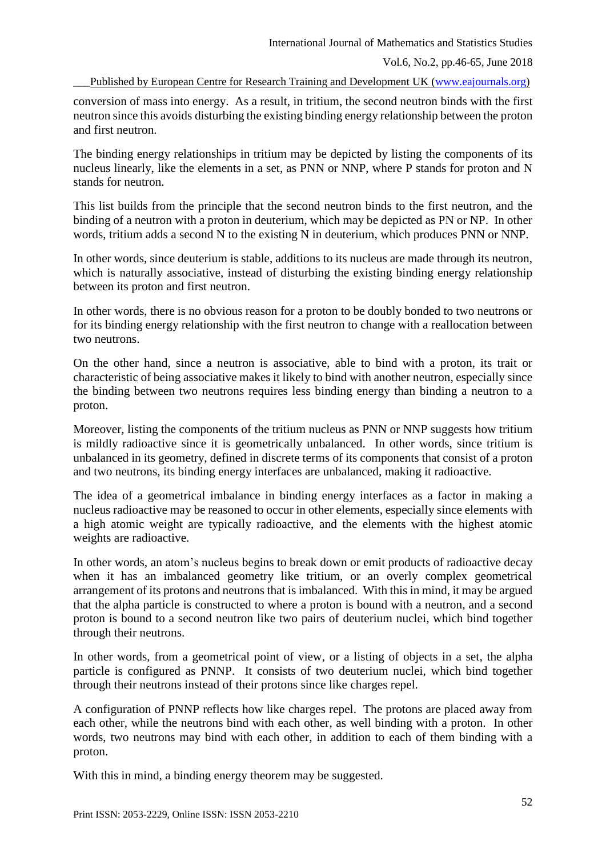conversion of mass into energy. As a result, in tritium, the second neutron binds with the first neutron since this avoids disturbing the existing binding energy relationship between the proton and first neutron.

The binding energy relationships in tritium may be depicted by listing the components of its nucleus linearly, like the elements in a set, as PNN or NNP, where P stands for proton and N stands for neutron.

This list builds from the principle that the second neutron binds to the first neutron, and the binding of a neutron with a proton in deuterium, which may be depicted as PN or NP. In other words, tritium adds a second N to the existing N in deuterium, which produces PNN or NNP.

In other words, since deuterium is stable, additions to its nucleus are made through its neutron, which is naturally associative, instead of disturbing the existing binding energy relationship between its proton and first neutron.

In other words, there is no obvious reason for a proton to be doubly bonded to two neutrons or for its binding energy relationship with the first neutron to change with a reallocation between two neutrons.

On the other hand, since a neutron is associative, able to bind with a proton, its trait or characteristic of being associative makes it likely to bind with another neutron, especially since the binding between two neutrons requires less binding energy than binding a neutron to a proton.

Moreover, listing the components of the tritium nucleus as PNN or NNP suggests how tritium is mildly radioactive since it is geometrically unbalanced. In other words, since tritium is unbalanced in its geometry, defined in discrete terms of its components that consist of a proton and two neutrons, its binding energy interfaces are unbalanced, making it radioactive.

The idea of a geometrical imbalance in binding energy interfaces as a factor in making a nucleus radioactive may be reasoned to occur in other elements, especially since elements with a high atomic weight are typically radioactive, and the elements with the highest atomic weights are radioactive.

In other words, an atom's nucleus begins to break down or emit products of radioactive decay when it has an imbalanced geometry like tritium, or an overly complex geometrical arrangement of its protons and neutrons that is imbalanced. With this in mind, it may be argued that the alpha particle is constructed to where a proton is bound with a neutron, and a second proton is bound to a second neutron like two pairs of deuterium nuclei, which bind together through their neutrons.

In other words, from a geometrical point of view, or a listing of objects in a set, the alpha particle is configured as PNNP. It consists of two deuterium nuclei, which bind together through their neutrons instead of their protons since like charges repel.

A configuration of PNNP reflects how like charges repel. The protons are placed away from each other, while the neutrons bind with each other, as well binding with a proton. In other words, two neutrons may bind with each other, in addition to each of them binding with a proton.

With this in mind, a binding energy theorem may be suggested.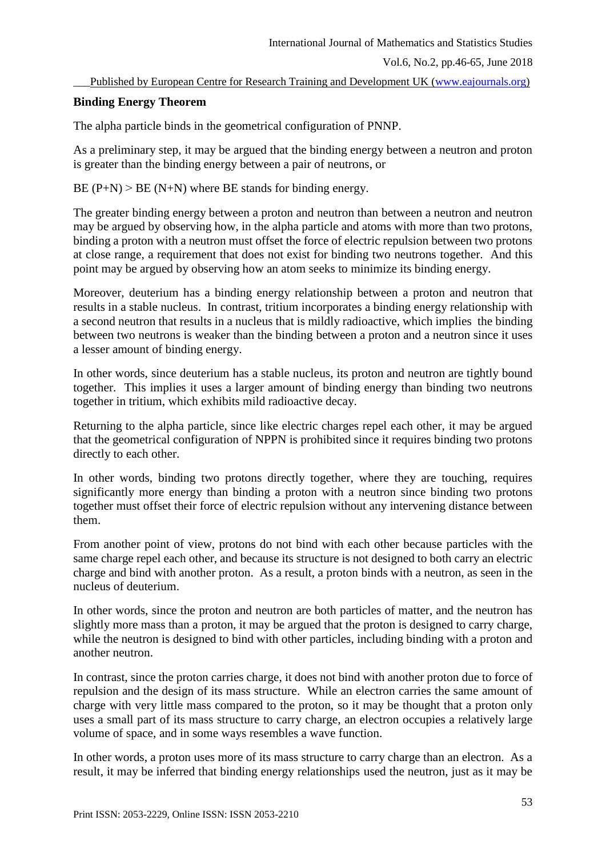## **Binding Energy Theorem**

The alpha particle binds in the geometrical configuration of PNNP.

As a preliminary step, it may be argued that the binding energy between a neutron and proton is greater than the binding energy between a pair of neutrons, or

 $BE (P+N)$  >  $BE (N+N)$  where  $BE$  stands for binding energy.

The greater binding energy between a proton and neutron than between a neutron and neutron may be argued by observing how, in the alpha particle and atoms with more than two protons, binding a proton with a neutron must offset the force of electric repulsion between two protons at close range, a requirement that does not exist for binding two neutrons together. And this point may be argued by observing how an atom seeks to minimize its binding energy.

Moreover, deuterium has a binding energy relationship between a proton and neutron that results in a stable nucleus. In contrast, tritium incorporates a binding energy relationship with a second neutron that results in a nucleus that is mildly radioactive, which implies the binding between two neutrons is weaker than the binding between a proton and a neutron since it uses a lesser amount of binding energy.

In other words, since deuterium has a stable nucleus, its proton and neutron are tightly bound together. This implies it uses a larger amount of binding energy than binding two neutrons together in tritium, which exhibits mild radioactive decay.

Returning to the alpha particle, since like electric charges repel each other, it may be argued that the geometrical configuration of NPPN is prohibited since it requires binding two protons directly to each other.

In other words, binding two protons directly together, where they are touching, requires significantly more energy than binding a proton with a neutron since binding two protons together must offset their force of electric repulsion without any intervening distance between them.

From another point of view, protons do not bind with each other because particles with the same charge repel each other, and because its structure is not designed to both carry an electric charge and bind with another proton. As a result, a proton binds with a neutron, as seen in the nucleus of deuterium.

In other words, since the proton and neutron are both particles of matter, and the neutron has slightly more mass than a proton, it may be argued that the proton is designed to carry charge, while the neutron is designed to bind with other particles, including binding with a proton and another neutron.

In contrast, since the proton carries charge, it does not bind with another proton due to force of repulsion and the design of its mass structure. While an electron carries the same amount of charge with very little mass compared to the proton, so it may be thought that a proton only uses a small part of its mass structure to carry charge, an electron occupies a relatively large volume of space, and in some ways resembles a wave function.

In other words, a proton uses more of its mass structure to carry charge than an electron. As a result, it may be inferred that binding energy relationships used the neutron, just as it may be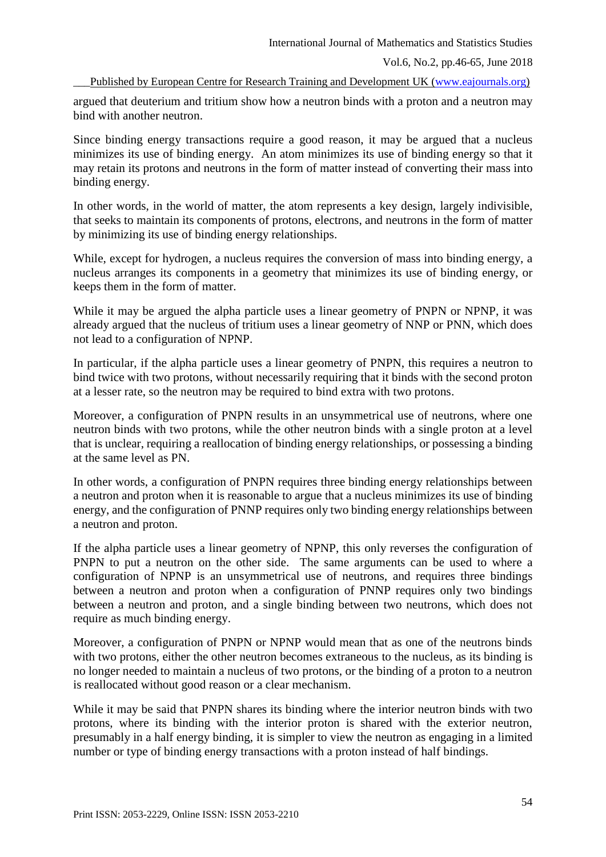Vol.6, No.2, pp.46-65, June 2018

Published by European Centre for Research Training and Development UK [\(www.eajournals.org\)](http://www.eajournals.org/)

argued that deuterium and tritium show how a neutron binds with a proton and a neutron may bind with another neutron.

Since binding energy transactions require a good reason, it may be argued that a nucleus minimizes its use of binding energy. An atom minimizes its use of binding energy so that it may retain its protons and neutrons in the form of matter instead of converting their mass into binding energy.

In other words, in the world of matter, the atom represents a key design, largely indivisible, that seeks to maintain its components of protons, electrons, and neutrons in the form of matter by minimizing its use of binding energy relationships.

While, except for hydrogen, a nucleus requires the conversion of mass into binding energy, a nucleus arranges its components in a geometry that minimizes its use of binding energy, or keeps them in the form of matter.

While it may be argued the alpha particle uses a linear geometry of PNPN or NPNP, it was already argued that the nucleus of tritium uses a linear geometry of NNP or PNN, which does not lead to a configuration of NPNP.

In particular, if the alpha particle uses a linear geometry of PNPN, this requires a neutron to bind twice with two protons, without necessarily requiring that it binds with the second proton at a lesser rate, so the neutron may be required to bind extra with two protons.

Moreover, a configuration of PNPN results in an unsymmetrical use of neutrons, where one neutron binds with two protons, while the other neutron binds with a single proton at a level that is unclear, requiring a reallocation of binding energy relationships, or possessing a binding at the same level as PN.

In other words, a configuration of PNPN requires three binding energy relationships between a neutron and proton when it is reasonable to argue that a nucleus minimizes its use of binding energy, and the configuration of PNNP requires only two binding energy relationships between a neutron and proton.

If the alpha particle uses a linear geometry of NPNP, this only reverses the configuration of PNPN to put a neutron on the other side. The same arguments can be used to where a configuration of NPNP is an unsymmetrical use of neutrons, and requires three bindings between a neutron and proton when a configuration of PNNP requires only two bindings between a neutron and proton, and a single binding between two neutrons, which does not require as much binding energy.

Moreover, a configuration of PNPN or NPNP would mean that as one of the neutrons binds with two protons, either the other neutron becomes extraneous to the nucleus, as its binding is no longer needed to maintain a nucleus of two protons, or the binding of a proton to a neutron is reallocated without good reason or a clear mechanism.

While it may be said that PNPN shares its binding where the interior neutron binds with two protons, where its binding with the interior proton is shared with the exterior neutron, presumably in a half energy binding, it is simpler to view the neutron as engaging in a limited number or type of binding energy transactions with a proton instead of half bindings.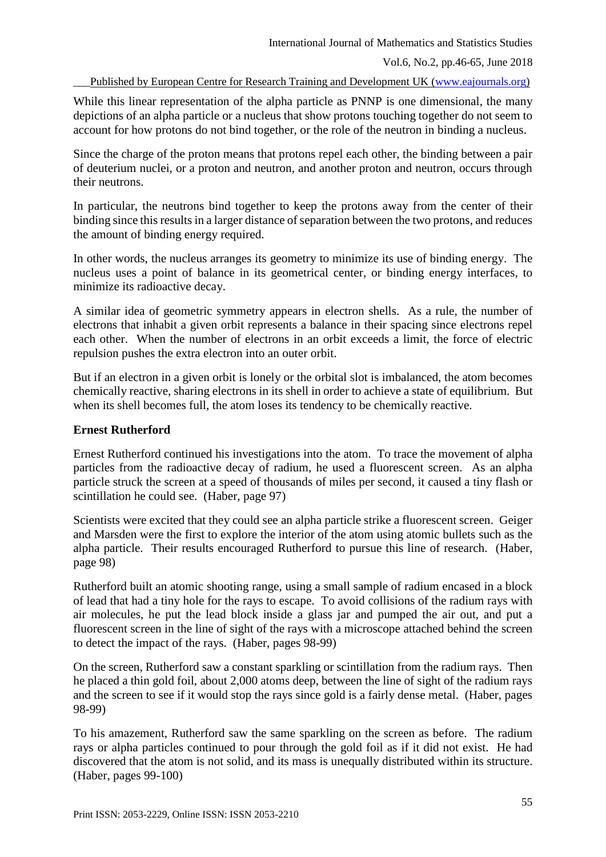While this linear representation of the alpha particle as PNNP is one dimensional, the many depictions of an alpha particle or a nucleus that show protons touching together do not seem to account for how protons do not bind together, or the role of the neutron in binding a nucleus.

Since the charge of the proton means that protons repel each other, the binding between a pair of deuterium nuclei, or a proton and neutron, and another proton and neutron, occurs through their neutrons.

In particular, the neutrons bind together to keep the protons away from the center of their binding since this results in a larger distance of separation between the two protons, and reduces the amount of binding energy required.

In other words, the nucleus arranges its geometry to minimize its use of binding energy. The nucleus uses a point of balance in its geometrical center, or binding energy interfaces, to minimize its radioactive decay.

A similar idea of geometric symmetry appears in electron shells. As a rule, the number of electrons that inhabit a given orbit represents a balance in their spacing since electrons repel each other. When the number of electrons in an orbit exceeds a limit, the force of electric repulsion pushes the extra electron into an outer orbit.

But if an electron in a given orbit is lonely or the orbital slot is imbalanced, the atom becomes chemically reactive, sharing electrons in its shell in order to achieve a state of equilibrium. But when its shell becomes full, the atom loses its tendency to be chemically reactive.

## **Ernest Rutherford**

Ernest Rutherford continued his investigations into the atom. To trace the movement of alpha particles from the radioactive decay of radium, he used a fluorescent screen. As an alpha particle struck the screen at a speed of thousands of miles per second, it caused a tiny flash or scintillation he could see. (Haber, page 97)

Scientists were excited that they could see an alpha particle strike a fluorescent screen. Geiger and Marsden were the first to explore the interior of the atom using atomic bullets such as the alpha particle. Their results encouraged Rutherford to pursue this line of research. (Haber, page 98)

Rutherford built an atomic shooting range, using a small sample of radium encased in a block of lead that had a tiny hole for the rays to escape. To avoid collisions of the radium rays with air molecules, he put the lead block inside a glass jar and pumped the air out, and put a fluorescent screen in the line of sight of the rays with a microscope attached behind the screen to detect the impact of the rays. (Haber, pages 98-99)

On the screen, Rutherford saw a constant sparkling or scintillation from the radium rays. Then he placed a thin gold foil, about 2,000 atoms deep, between the line of sight of the radium rays and the screen to see if it would stop the rays since gold is a fairly dense metal. (Haber, pages 98-99)

To his amazement, Rutherford saw the same sparkling on the screen as before. The radium rays or alpha particles continued to pour through the gold foil as if it did not exist. He had discovered that the atom is not solid, and its mass is unequally distributed within its structure. (Haber, pages 99-100)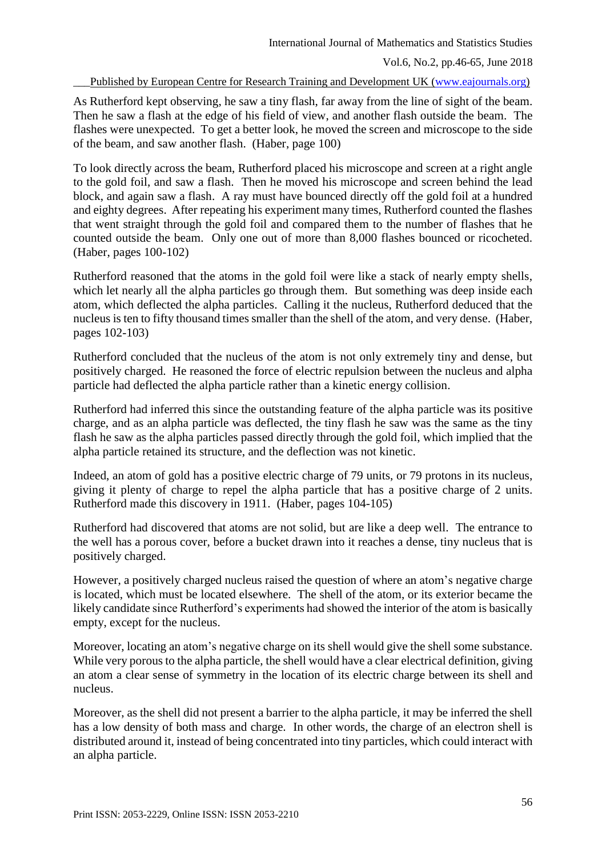As Rutherford kept observing, he saw a tiny flash, far away from the line of sight of the beam. Then he saw a flash at the edge of his field of view, and another flash outside the beam. The flashes were unexpected. To get a better look, he moved the screen and microscope to the side of the beam, and saw another flash. (Haber, page 100)

To look directly across the beam, Rutherford placed his microscope and screen at a right angle to the gold foil, and saw a flash. Then he moved his microscope and screen behind the lead block, and again saw a flash. A ray must have bounced directly off the gold foil at a hundred and eighty degrees. After repeating his experiment many times, Rutherford counted the flashes that went straight through the gold foil and compared them to the number of flashes that he counted outside the beam. Only one out of more than 8,000 flashes bounced or ricocheted. (Haber, pages 100-102)

Rutherford reasoned that the atoms in the gold foil were like a stack of nearly empty shells, which let nearly all the alpha particles go through them. But something was deep inside each atom, which deflected the alpha particles. Calling it the nucleus, Rutherford deduced that the nucleus is ten to fifty thousand times smaller than the shell of the atom, and very dense. (Haber, pages 102-103)

Rutherford concluded that the nucleus of the atom is not only extremely tiny and dense, but positively charged. He reasoned the force of electric repulsion between the nucleus and alpha particle had deflected the alpha particle rather than a kinetic energy collision.

Rutherford had inferred this since the outstanding feature of the alpha particle was its positive charge, and as an alpha particle was deflected, the tiny flash he saw was the same as the tiny flash he saw as the alpha particles passed directly through the gold foil, which implied that the alpha particle retained its structure, and the deflection was not kinetic.

Indeed, an atom of gold has a positive electric charge of 79 units, or 79 protons in its nucleus, giving it plenty of charge to repel the alpha particle that has a positive charge of 2 units. Rutherford made this discovery in 1911. (Haber, pages 104-105)

Rutherford had discovered that atoms are not solid, but are like a deep well. The entrance to the well has a porous cover, before a bucket drawn into it reaches a dense, tiny nucleus that is positively charged.

However, a positively charged nucleus raised the question of where an atom's negative charge is located, which must be located elsewhere. The shell of the atom, or its exterior became the likely candidate since Rutherford's experiments had showed the interior of the atom is basically empty, except for the nucleus.

Moreover, locating an atom's negative charge on its shell would give the shell some substance. While very porous to the alpha particle, the shell would have a clear electrical definition, giving an atom a clear sense of symmetry in the location of its electric charge between its shell and nucleus.

Moreover, as the shell did not present a barrier to the alpha particle, it may be inferred the shell has a low density of both mass and charge. In other words, the charge of an electron shell is distributed around it, instead of being concentrated into tiny particles, which could interact with an alpha particle.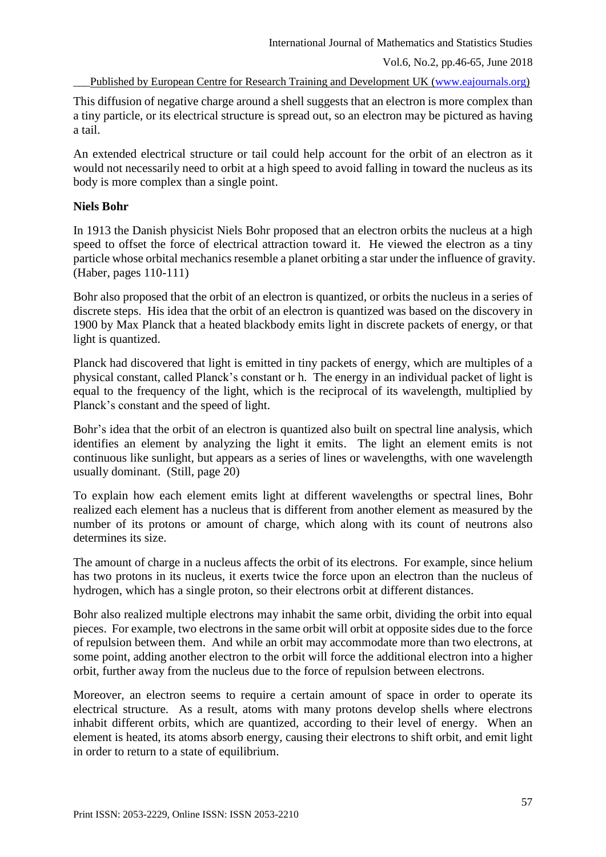This diffusion of negative charge around a shell suggests that an electron is more complex than a tiny particle, or its electrical structure is spread out, so an electron may be pictured as having a tail.

An extended electrical structure or tail could help account for the orbit of an electron as it would not necessarily need to orbit at a high speed to avoid falling in toward the nucleus as its body is more complex than a single point.

# **Niels Bohr**

In 1913 the Danish physicist Niels Bohr proposed that an electron orbits the nucleus at a high speed to offset the force of electrical attraction toward it. He viewed the electron as a tiny particle whose orbital mechanics resemble a planet orbiting a star under the influence of gravity. (Haber, pages 110-111)

Bohr also proposed that the orbit of an electron is quantized, or orbits the nucleus in a series of discrete steps. His idea that the orbit of an electron is quantized was based on the discovery in 1900 by Max Planck that a heated blackbody emits light in discrete packets of energy, or that light is quantized.

Planck had discovered that light is emitted in tiny packets of energy, which are multiples of a physical constant, called Planck's constant or h. The energy in an individual packet of light is equal to the frequency of the light, which is the reciprocal of its wavelength, multiplied by Planck's constant and the speed of light.

Bohr's idea that the orbit of an electron is quantized also built on spectral line analysis, which identifies an element by analyzing the light it emits. The light an element emits is not continuous like sunlight, but appears as a series of lines or wavelengths, with one wavelength usually dominant. (Still, page 20)

To explain how each element emits light at different wavelengths or spectral lines, Bohr realized each element has a nucleus that is different from another element as measured by the number of its protons or amount of charge, which along with its count of neutrons also determines its size.

The amount of charge in a nucleus affects the orbit of its electrons. For example, since helium has two protons in its nucleus, it exerts twice the force upon an electron than the nucleus of hydrogen, which has a single proton, so their electrons orbit at different distances.

Bohr also realized multiple electrons may inhabit the same orbit, dividing the orbit into equal pieces. For example, two electrons in the same orbit will orbit at opposite sides due to the force of repulsion between them. And while an orbit may accommodate more than two electrons, at some point, adding another electron to the orbit will force the additional electron into a higher orbit, further away from the nucleus due to the force of repulsion between electrons.

Moreover, an electron seems to require a certain amount of space in order to operate its electrical structure. As a result, atoms with many protons develop shells where electrons inhabit different orbits, which are quantized, according to their level of energy. When an element is heated, its atoms absorb energy, causing their electrons to shift orbit, and emit light in order to return to a state of equilibrium.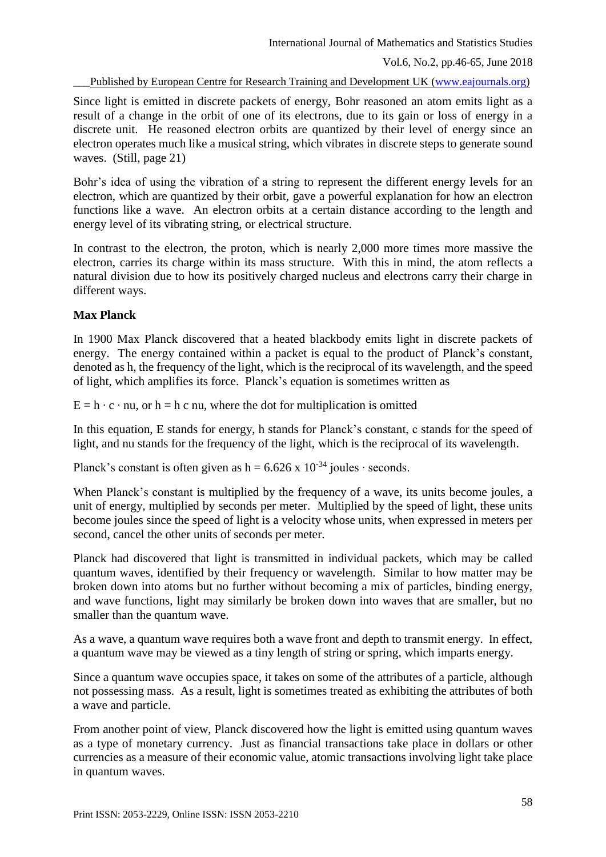Since light is emitted in discrete packets of energy, Bohr reasoned an atom emits light as a result of a change in the orbit of one of its electrons, due to its gain or loss of energy in a discrete unit. He reasoned electron orbits are quantized by their level of energy since an electron operates much like a musical string, which vibrates in discrete steps to generate sound waves. (Still, page 21)

Bohr's idea of using the vibration of a string to represent the different energy levels for an electron, which are quantized by their orbit, gave a powerful explanation for how an electron functions like a wave. An electron orbits at a certain distance according to the length and energy level of its vibrating string, or electrical structure.

In contrast to the electron, the proton, which is nearly 2,000 more times more massive the electron, carries its charge within its mass structure. With this in mind, the atom reflects a natural division due to how its positively charged nucleus and electrons carry their charge in different ways.

# **Max Planck**

In 1900 Max Planck discovered that a heated blackbody emits light in discrete packets of energy. The energy contained within a packet is equal to the product of Planck's constant, denoted as h, the frequency of the light, which is the reciprocal of its wavelength, and the speed of light, which amplifies its force. Planck's equation is sometimes written as

 $E = h \cdot c \cdot nu$ , or  $h = h c nu$ , where the dot for multiplication is omitted

In this equation, E stands for energy, h stands for Planck's constant, c stands for the speed of light, and nu stands for the frequency of the light, which is the reciprocal of its wavelength.

Planck's constant is often given as h =  $6.626 \times 10^{-34}$  joules ⋅ seconds.

When Planck's constant is multiplied by the frequency of a wave, its units become joules, a unit of energy, multiplied by seconds per meter. Multiplied by the speed of light, these units become joules since the speed of light is a velocity whose units, when expressed in meters per second, cancel the other units of seconds per meter.

Planck had discovered that light is transmitted in individual packets, which may be called quantum waves, identified by their frequency or wavelength. Similar to how matter may be broken down into atoms but no further without becoming a mix of particles, binding energy, and wave functions, light may similarly be broken down into waves that are smaller, but no smaller than the quantum wave.

As a wave, a quantum wave requires both a wave front and depth to transmit energy. In effect, a quantum wave may be viewed as a tiny length of string or spring, which imparts energy.

Since a quantum wave occupies space, it takes on some of the attributes of a particle, although not possessing mass. As a result, light is sometimes treated as exhibiting the attributes of both a wave and particle.

From another point of view, Planck discovered how the light is emitted using quantum waves as a type of monetary currency. Just as financial transactions take place in dollars or other currencies as a measure of their economic value, atomic transactions involving light take place in quantum waves.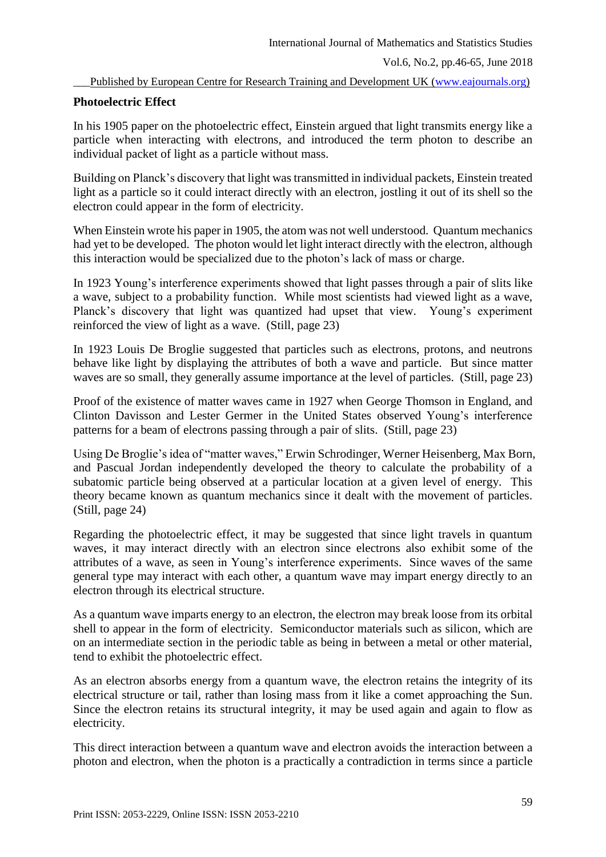## **Photoelectric Effect**

In his 1905 paper on the photoelectric effect, Einstein argued that light transmits energy like a particle when interacting with electrons, and introduced the term photon to describe an individual packet of light as a particle without mass.

Building on Planck's discovery that light was transmitted in individual packets, Einstein treated light as a particle so it could interact directly with an electron, jostling it out of its shell so the electron could appear in the form of electricity.

When Einstein wrote his paper in 1905, the atom was not well understood. Quantum mechanics had yet to be developed. The photon would let light interact directly with the electron, although this interaction would be specialized due to the photon's lack of mass or charge.

In 1923 Young's interference experiments showed that light passes through a pair of slits like a wave, subject to a probability function. While most scientists had viewed light as a wave, Planck's discovery that light was quantized had upset that view. Young's experiment reinforced the view of light as a wave. (Still, page 23)

In 1923 Louis De Broglie suggested that particles such as electrons, protons, and neutrons behave like light by displaying the attributes of both a wave and particle. But since matter waves are so small, they generally assume importance at the level of particles. (Still, page 23)

Proof of the existence of matter waves came in 1927 when George Thomson in England, and Clinton Davisson and Lester Germer in the United States observed Young's interference patterns for a beam of electrons passing through a pair of slits. (Still, page 23)

Using De Broglie's idea of "matter waves," Erwin Schrodinger, Werner Heisenberg, Max Born, and Pascual Jordan independently developed the theory to calculate the probability of a subatomic particle being observed at a particular location at a given level of energy. This theory became known as quantum mechanics since it dealt with the movement of particles. (Still, page 24)

Regarding the photoelectric effect, it may be suggested that since light travels in quantum waves, it may interact directly with an electron since electrons also exhibit some of the attributes of a wave, as seen in Young's interference experiments. Since waves of the same general type may interact with each other, a quantum wave may impart energy directly to an electron through its electrical structure.

As a quantum wave imparts energy to an electron, the electron may break loose from its orbital shell to appear in the form of electricity. Semiconductor materials such as silicon, which are on an intermediate section in the periodic table as being in between a metal or other material, tend to exhibit the photoelectric effect.

As an electron absorbs energy from a quantum wave, the electron retains the integrity of its electrical structure or tail, rather than losing mass from it like a comet approaching the Sun. Since the electron retains its structural integrity, it may be used again and again to flow as electricity.

This direct interaction between a quantum wave and electron avoids the interaction between a photon and electron, when the photon is a practically a contradiction in terms since a particle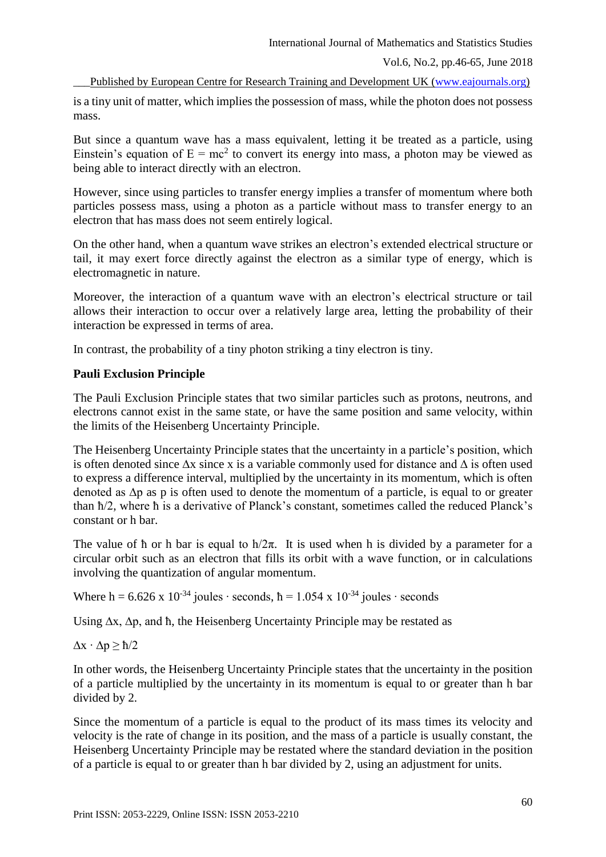Published by European Centre for Research Training and Development UK [\(www.eajournals.org\)](http://www.eajournals.org/)

is a tiny unit of matter, which implies the possession of mass, while the photon does not possess mass.

But since a quantum wave has a mass equivalent, letting it be treated as a particle, using Einstein's equation of  $E = mc^2$  to convert its energy into mass, a photon may be viewed as being able to interact directly with an electron.

However, since using particles to transfer energy implies a transfer of momentum where both particles possess mass, using a photon as a particle without mass to transfer energy to an electron that has mass does not seem entirely logical.

On the other hand, when a quantum wave strikes an electron's extended electrical structure or tail, it may exert force directly against the electron as a similar type of energy, which is electromagnetic in nature.

Moreover, the interaction of a quantum wave with an electron's electrical structure or tail allows their interaction to occur over a relatively large area, letting the probability of their interaction be expressed in terms of area.

In contrast, the probability of a tiny photon striking a tiny electron is tiny.

# **Pauli Exclusion Principle**

The Pauli Exclusion Principle states that two similar particles such as protons, neutrons, and electrons cannot exist in the same state, or have the same position and same velocity, within the limits of the Heisenberg Uncertainty Principle.

The Heisenberg Uncertainty Principle states that the uncertainty in a particle's position, which is often denoted since ∆x since x is a variable commonly used for distance and ∆ is often used to express a difference interval, multiplied by the uncertainty in its momentum, which is often denoted as ∆p as p is often used to denote the momentum of a particle, is equal to or greater than ħ/2, where ħ is a derivative of Planck's constant, sometimes called the reduced Planck's constant or h bar.

The value of  $\hbar$  or  $\hbar$  bar is equal to  $\hbar/2\pi$ . It is used when h is divided by a parameter for a circular orbit such as an electron that fills its orbit with a wave function, or in calculations involving the quantization of angular momentum.

Where h =  $6.626 \times 10^{-34}$  joules ⋅ seconds, h =  $1.054 \times 10^{-34}$  joules ⋅ seconds

Using ∆x, ∆p, and ħ, the Heisenberg Uncertainty Principle may be restated as

 $\Delta x \cdot \Delta p \geq \hbar/2$ 

In other words, the Heisenberg Uncertainty Principle states that the uncertainty in the position of a particle multiplied by the uncertainty in its momentum is equal to or greater than h bar divided by 2.

Since the momentum of a particle is equal to the product of its mass times its velocity and velocity is the rate of change in its position, and the mass of a particle is usually constant, the Heisenberg Uncertainty Principle may be restated where the standard deviation in the position of a particle is equal to or greater than h bar divided by 2, using an adjustment for units.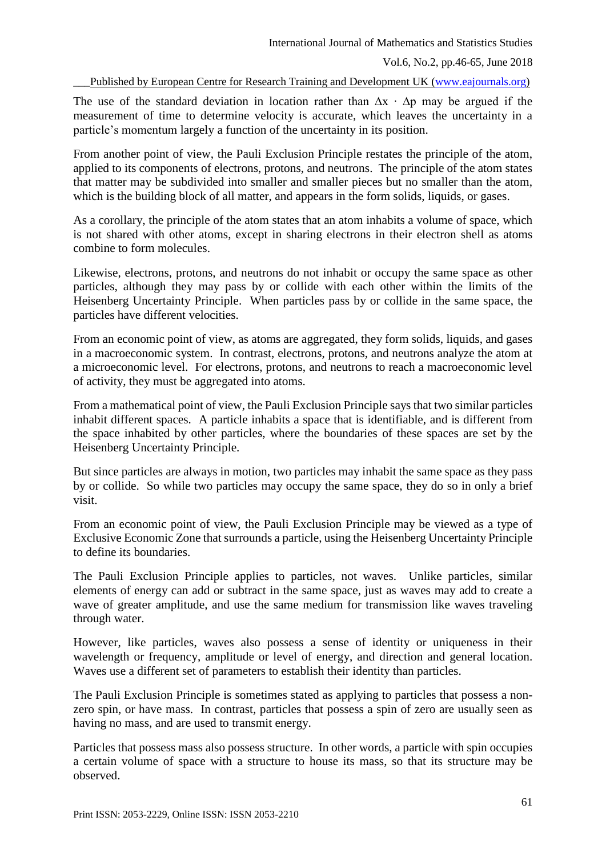The use of the standard deviation in location rather than  $\Delta x \cdot \Delta p$  may be argued if the measurement of time to determine velocity is accurate, which leaves the uncertainty in a particle's momentum largely a function of the uncertainty in its position.

From another point of view, the Pauli Exclusion Principle restates the principle of the atom, applied to its components of electrons, protons, and neutrons. The principle of the atom states that matter may be subdivided into smaller and smaller pieces but no smaller than the atom, which is the building block of all matter, and appears in the form solids, liquids, or gases.

As a corollary, the principle of the atom states that an atom inhabits a volume of space, which is not shared with other atoms, except in sharing electrons in their electron shell as atoms combine to form molecules.

Likewise, electrons, protons, and neutrons do not inhabit or occupy the same space as other particles, although they may pass by or collide with each other within the limits of the Heisenberg Uncertainty Principle. When particles pass by or collide in the same space, the particles have different velocities.

From an economic point of view, as atoms are aggregated, they form solids, liquids, and gases in a macroeconomic system. In contrast, electrons, protons, and neutrons analyze the atom at a microeconomic level. For electrons, protons, and neutrons to reach a macroeconomic level of activity, they must be aggregated into atoms.

From a mathematical point of view, the Pauli Exclusion Principle says that two similar particles inhabit different spaces. A particle inhabits a space that is identifiable, and is different from the space inhabited by other particles, where the boundaries of these spaces are set by the Heisenberg Uncertainty Principle.

But since particles are always in motion, two particles may inhabit the same space as they pass by or collide. So while two particles may occupy the same space, they do so in only a brief visit.

From an economic point of view, the Pauli Exclusion Principle may be viewed as a type of Exclusive Economic Zone that surrounds a particle, using the Heisenberg Uncertainty Principle to define its boundaries.

The Pauli Exclusion Principle applies to particles, not waves. Unlike particles, similar elements of energy can add or subtract in the same space, just as waves may add to create a wave of greater amplitude, and use the same medium for transmission like waves traveling through water.

However, like particles, waves also possess a sense of identity or uniqueness in their wavelength or frequency, amplitude or level of energy, and direction and general location. Waves use a different set of parameters to establish their identity than particles.

The Pauli Exclusion Principle is sometimes stated as applying to particles that possess a nonzero spin, or have mass. In contrast, particles that possess a spin of zero are usually seen as having no mass, and are used to transmit energy.

Particles that possess mass also possess structure. In other words, a particle with spin occupies a certain volume of space with a structure to house its mass, so that its structure may be observed.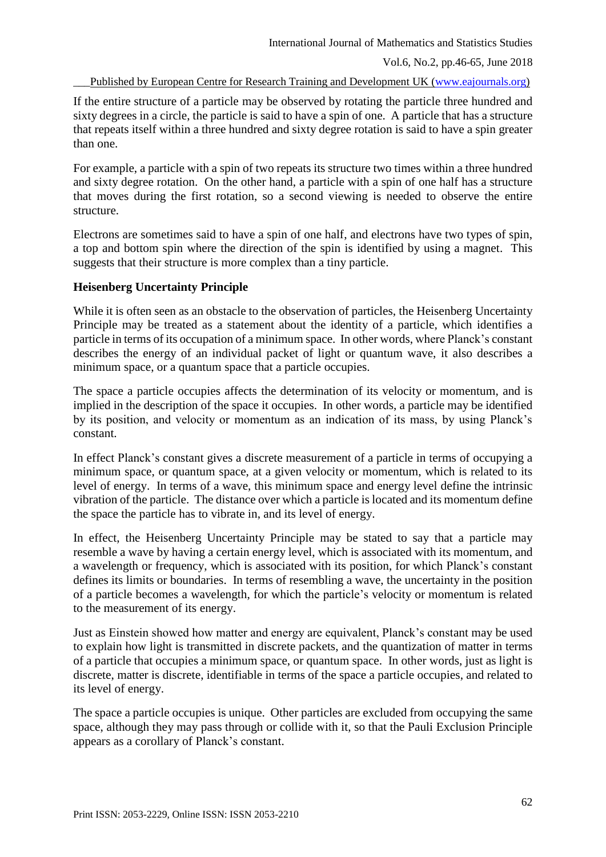If the entire structure of a particle may be observed by rotating the particle three hundred and sixty degrees in a circle, the particle is said to have a spin of one. A particle that has a structure that repeats itself within a three hundred and sixty degree rotation is said to have a spin greater than one.

For example, a particle with a spin of two repeats its structure two times within a three hundred and sixty degree rotation. On the other hand, a particle with a spin of one half has a structure that moves during the first rotation, so a second viewing is needed to observe the entire structure.

Electrons are sometimes said to have a spin of one half, and electrons have two types of spin, a top and bottom spin where the direction of the spin is identified by using a magnet. This suggests that their structure is more complex than a tiny particle.

# **Heisenberg Uncertainty Principle**

While it is often seen as an obstacle to the observation of particles, the Heisenberg Uncertainty Principle may be treated as a statement about the identity of a particle, which identifies a particle in terms of its occupation of a minimum space. In other words, where Planck's constant describes the energy of an individual packet of light or quantum wave, it also describes a minimum space, or a quantum space that a particle occupies.

The space a particle occupies affects the determination of its velocity or momentum, and is implied in the description of the space it occupies. In other words, a particle may be identified by its position, and velocity or momentum as an indication of its mass, by using Planck's constant.

In effect Planck's constant gives a discrete measurement of a particle in terms of occupying a minimum space, or quantum space, at a given velocity or momentum, which is related to its level of energy. In terms of a wave, this minimum space and energy level define the intrinsic vibration of the particle. The distance over which a particle is located and its momentum define the space the particle has to vibrate in, and its level of energy.

In effect, the Heisenberg Uncertainty Principle may be stated to say that a particle may resemble a wave by having a certain energy level, which is associated with its momentum, and a wavelength or frequency, which is associated with its position, for which Planck's constant defines its limits or boundaries. In terms of resembling a wave, the uncertainty in the position of a particle becomes a wavelength, for which the particle's velocity or momentum is related to the measurement of its energy.

Just as Einstein showed how matter and energy are equivalent, Planck's constant may be used to explain how light is transmitted in discrete packets, and the quantization of matter in terms of a particle that occupies a minimum space, or quantum space. In other words, just as light is discrete, matter is discrete, identifiable in terms of the space a particle occupies, and related to its level of energy.

The space a particle occupies is unique. Other particles are excluded from occupying the same space, although they may pass through or collide with it, so that the Pauli Exclusion Principle appears as a corollary of Planck's constant.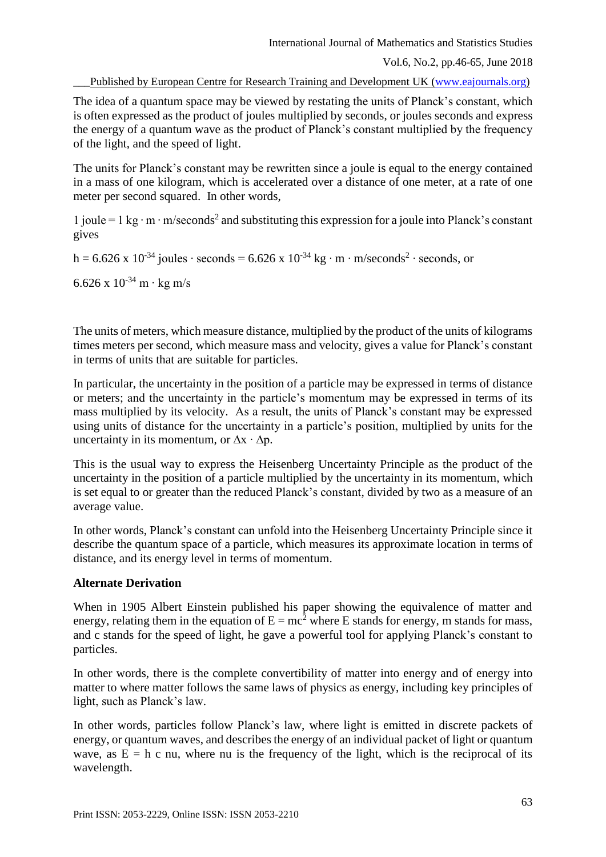Vol.6, No.2, pp.46-65, June 2018

Published by European Centre for Research Training and Development UK [\(www.eajournals.org\)](http://www.eajournals.org/)

The idea of a quantum space may be viewed by restating the units of Planck's constant, which is often expressed as the product of joules multiplied by seconds, or joules seconds and express the energy of a quantum wave as the product of Planck's constant multiplied by the frequency of the light, and the speed of light.

The units for Planck's constant may be rewritten since a joule is equal to the energy contained in a mass of one kilogram, which is accelerated over a distance of one meter, at a rate of one meter per second squared. In other words,

1 joule = 1 kg ∙ m ∙ m/seconds<sup>2</sup> and substituting this expression for a joule into Planck's constant gives

h = 6.626 x 10<sup>-34</sup> joules ⋅ seconds = 6.626 x 10<sup>-34</sup> kg ⋅ m ⋅ m/seconds<sup>2</sup> ⋅ seconds, or

6.626 x 10-34 m ∙ kg m/s

The units of meters, which measure distance, multiplied by the product of the units of kilograms times meters per second, which measure mass and velocity, gives a value for Planck's constant in terms of units that are suitable for particles.

In particular, the uncertainty in the position of a particle may be expressed in terms of distance or meters; and the uncertainty in the particle's momentum may be expressed in terms of its mass multiplied by its velocity. As a result, the units of Planck's constant may be expressed using units of distance for the uncertainty in a particle's position, multiplied by units for the uncertainty in its momentum, or  $\Delta x \cdot \Delta p$ .

This is the usual way to express the Heisenberg Uncertainty Principle as the product of the uncertainty in the position of a particle multiplied by the uncertainty in its momentum, which is set equal to or greater than the reduced Planck's constant, divided by two as a measure of an average value.

In other words, Planck's constant can unfold into the Heisenberg Uncertainty Principle since it describe the quantum space of a particle, which measures its approximate location in terms of distance, and its energy level in terms of momentum.

# **Alternate Derivation**

When in 1905 Albert Einstein published his paper showing the equivalence of matter and energy, relating them in the equation of  $E = mc^2$  where E stands for energy, m stands for mass, and c stands for the speed of light, he gave a powerful tool for applying Planck's constant to particles.

In other words, there is the complete convertibility of matter into energy and of energy into matter to where matter follows the same laws of physics as energy, including key principles of light, such as Planck's law.

In other words, particles follow Planck's law, where light is emitted in discrete packets of energy, or quantum waves, and describes the energy of an individual packet of light or quantum wave, as  $E = h c$  nu, where nu is the frequency of the light, which is the reciprocal of its wavelength.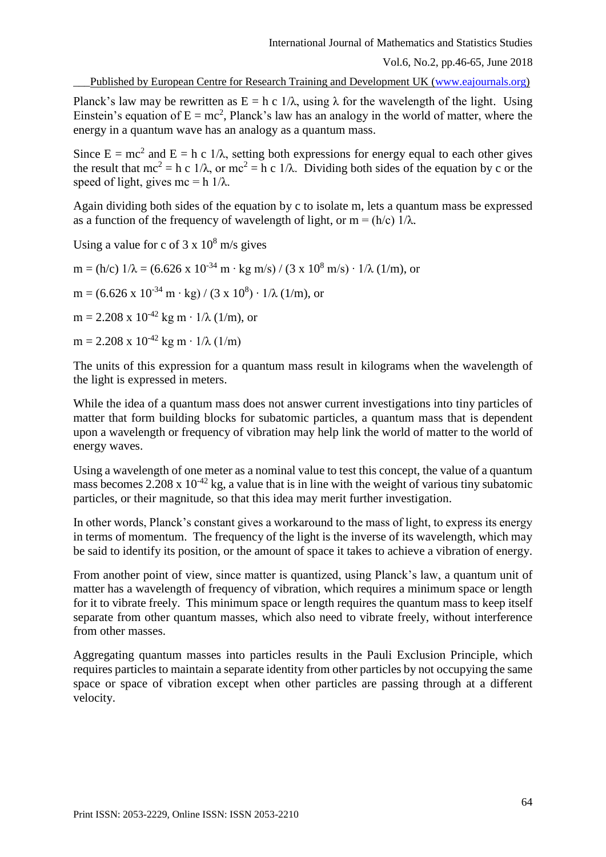Published by European Centre for Research Training and Development UK [\(www.eajournals.org\)](http://www.eajournals.org/)

Planck's law may be rewritten as  $E = h c \frac{1}{\lambda}$ , using  $\lambda$  for the wavelength of the light. Using Einstein's equation of  $E = mc^2$ , Planck's law has an analogy in the world of matter, where the energy in a quantum wave has an analogy as a quantum mass.

Since  $E = mc^2$  and  $E = h c \frac{1}{\lambda}$ , setting both expressions for energy equal to each other gives the result that  $mc^2 = h c$  1/ $\lambda$ , or  $mc^2 = h c$  1/ $\lambda$ . Dividing both sides of the equation by c or the speed of light, gives mc = h  $1/\lambda$ .

Again dividing both sides of the equation by c to isolate m, lets a quantum mass be expressed as a function of the frequency of wavelength of light, or m = (h/c)  $1/\lambda$ .

Using a value for c of  $3 \times 10^8$  m/s gives

m = (h/c)  $1/\lambda$  = (6.626 x 10<sup>-34</sup> m ⋅ kg m/s) / (3 x 10<sup>8</sup> m/s) ⋅ 1/ $\lambda$  (1/m), or

 $m = (6.626 \times 10^{-34} \text{ m} \cdot \text{kg}) / (3 \times 10^8) \cdot 1/\lambda (1/\text{m})$ , or

 $m = 2.208 \times 10^{-42}$  kg m ·  $1/\lambda$  (1/m), or

 $m = 2.208 \times 10^{-42}$  kg m ⋅ 1/ $\lambda$  (1/m)

The units of this expression for a quantum mass result in kilograms when the wavelength of the light is expressed in meters.

While the idea of a quantum mass does not answer current investigations into tiny particles of matter that form building blocks for subatomic particles, a quantum mass that is dependent upon a wavelength or frequency of vibration may help link the world of matter to the world of energy waves.

Using a wavelength of one meter as a nominal value to test this concept, the value of a quantum mass becomes  $2.208 \times 10^{-42}$  kg, a value that is in line with the weight of various tiny subatomic particles, or their magnitude, so that this idea may merit further investigation.

In other words, Planck's constant gives a workaround to the mass of light, to express its energy in terms of momentum. The frequency of the light is the inverse of its wavelength, which may be said to identify its position, or the amount of space it takes to achieve a vibration of energy.

From another point of view, since matter is quantized, using Planck's law, a quantum unit of matter has a wavelength of frequency of vibration, which requires a minimum space or length for it to vibrate freely. This minimum space or length requires the quantum mass to keep itself separate from other quantum masses, which also need to vibrate freely, without interference from other masses.

Aggregating quantum masses into particles results in the Pauli Exclusion Principle, which requires particles to maintain a separate identity from other particles by not occupying the same space or space of vibration except when other particles are passing through at a different velocity.